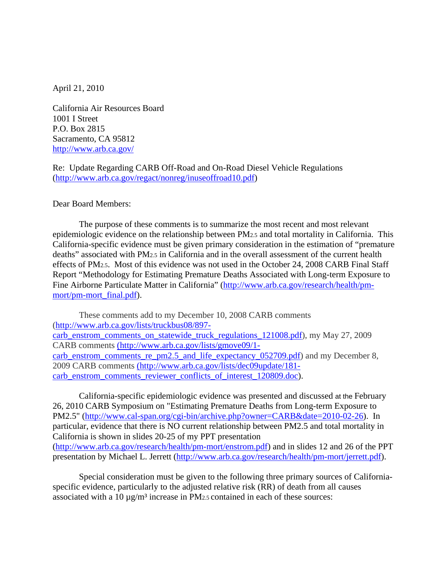April 21, 2010

California Air Resources Board 1001 I Street P.O. Box 2815 Sacramento, CA 95812 <http://www.arb.ca.gov/>

Re: Update Regarding CARB Off-Road and On-Road Diesel Vehicle Regulations [\(http://www.arb.ca.gov/regact/nonreg/inuseoffroad10.pdf\)](http://www.arb.ca.gov/regact/nonreg/inuseoffroad10.pdf)

Dear Board Members:

The purpose of these comments is to summarize the most recent and most relevant epidemiologic evidence on the relationship between PM2.5 and total mortality in California. This California-specific evidence must be given primary consideration in the estimation of "premature deaths" associated with PM2.5 in California and in the overall assessment of the current health effects of PM2.5. Most of this evidence was not used in the October 24, 2008 CARB Final Staff Report "Methodology for Estimating Premature Deaths Associated with Long-term Exposure to Fine Airborne Particulate Matter in California" [\(http://www.arb.ca.gov/research/health/pm](http://www.arb.ca.gov/research/health/pm-mort/pm-mort_final.pdf)[mort/pm-mort\\_final.pdf\)](http://www.arb.ca.gov/research/health/pm-mort/pm-mort_final.pdf).

These comments add to my December 10, 2008 CARB comments [\(http://www.arb.ca.gov/lists/truckbus08/897](http://www.arb.ca.gov/lists/truckbus08/897-carb_enstrom_comments_on_statewide_truck_regulations_121008.pdf) carb enstrom comments on statewide truck regulations 121008.pdf), my May 27, 2009 CARB comments [\(http://www.arb.ca.gov/lists/gmove09/1](http://www.arb.ca.gov/lists/gmove09/1-carb_enstrom_comments_re_pm2.5_and_life_expectancy_052709.pdf) [carb\\_enstrom\\_comments\\_re\\_pm2.5\\_and\\_life\\_expectancy\\_052709.pdf\)](http://www.arb.ca.gov/lists/gmove09/1-carb_enstrom_comments_re_pm2.5_and_life_expectancy_052709.pdf) and my December 8, 2009 CARB comments (http://www.arb.ca.gov/lists/dec09update/181 carb\_enstrom\_comments\_reviewer\_conflicts\_of\_interest\_120809.doc).

California-specific epidemiologic evidence was presented and discussed at the February 26, 2010 CARB Symposium on "Estimating Premature Deaths from Long-term Exposure to PM2.5" [\(http://www.cal-span.org/cgi-bin/archive.php?owner=CARB&date=2010-02-26\)](http://www.cal-span.org/cgi-bin/archive.php?owner=CARB&date=2010-02-26). In particular, evidence that there is NO current relationship between PM2.5 and total mortality in California is shown in slides 20-25 of my PPT presentation [\(http://www.arb.ca.gov/research/health/pm-mort/enstrom.pdf\)](http://www.arb.ca.gov/research/health/pm-mort/enstrom.pdf) and in slides 12 and 26 of the PPT presentation by Michael L. Jerrett [\(http://www.arb.ca.gov/research/health/pm-mort/jerrett.pdf\)](http://www.arb.ca.gov/research/health/pm-mort/jerrett.pdf).

Special consideration must be given to the following three primary sources of Californiaspecific evidence, particularly to the adjusted relative risk (RR) of death from all causes associated with a  $10 \mu g/m^3$  increase in PM<sub>2.5</sub> contained in each of these sources: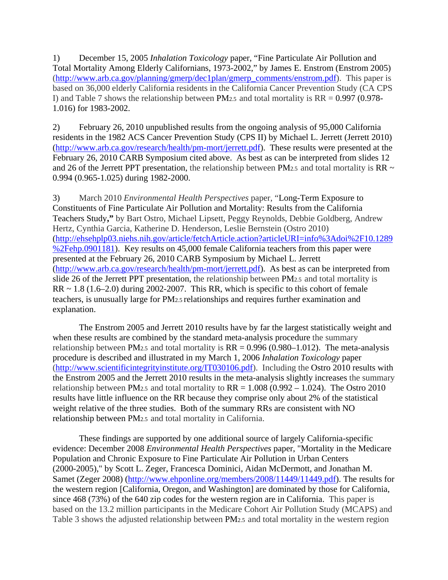1) December 15, 2005 *Inhalation Toxicology* paper, "Fine Particulate Air Pollution and Total Mortality Among Elderly Californians, 1973-2002," by James E. Enstrom (Enstrom 2005) [\(http://www.arb.ca.gov/planning/gmerp/dec1plan/gmerp\\_comments/enstrom.pdf\)](http://www.arb.ca.gov/planning/gmerp/dec1plan/gmerp_comments/enstrom.pdf). This paper is based on 36,000 elderly California residents in the California Cancer Prevention Study (CA CPS I) and Table 7 shows the relationship between PM<sub>2.5</sub> and total mortality is  $RR = 0.997 (0.978$ -1.016) for 1983-2002.

2) February 26, 2010 unpublished results from the ongoing analysis of 95,000 California residents in the 1982 ACS Cancer Prevention Study (CPS II) by Michael L. Jerrett (Jerrett 2010) [\(http://www.arb.ca.gov/research/health/pm-mort/jerrett.pdf\)](http://www.arb.ca.gov/research/health/pm-mort/jerrett.pdf). These results were presented at the February 26, 2010 CARB Symposium cited above. As best as can be interpreted from slides 12 and 26 of the Jerrett PPT presentation, the relationship between PM2.5 and total mortality is RR  $\sim$ 0.994 (0.965-1.025) during 1982-2000.

3) March 2010 *Environmental Health Perspectives* paper, ["Long-Term Exposure to](http://ehsehplp03.niehs.nih.gov/article/fetchArticle.action?articleURI=info%3Adoi%2F10.1289%2Fehp.0901181)  [Constituents of Fine Particulate Air Pollution and Mortality: Results from the California](http://ehsehplp03.niehs.nih.gov/article/fetchArticle.action?articleURI=info%3Adoi%2F10.1289%2Fehp.0901181)  [Teachers Study](http://ehsehplp03.niehs.nih.gov/article/fetchArticle.action?articleURI=info%3Adoi%2F10.1289%2Fehp.0901181)**,"** by Bart Ostro, Michael Lipsett, Peggy Reynolds, Debbie Goldberg, Andrew Hertz, Cynthia Garcia, Katherine D. Henderson, Leslie Bernstein (Ostro 2010) [\(http://ehsehplp03.niehs.nih.gov/article/fetchArticle.action?articleURI=info%3Adoi%2F10.1289](http://ehsehplp03.niehs.nih.gov/article/fetchArticle.action?articleURI=info%3Adoi%2F10.1289%2Fehp.0901181) [%2Fehp.0901181\)](http://ehsehplp03.niehs.nih.gov/article/fetchArticle.action?articleURI=info%3Adoi%2F10.1289%2Fehp.0901181). Key results on 45,000 female California teachers from this paper were presented at the February 26, 2010 CARB Symposium by Michael L. Jerrett [\(http://www.arb.ca.gov/research/health/pm-mort/jerrett.pdf\)](http://www.arb.ca.gov/research/health/pm-mort/jerrett.pdf). As best as can be interpreted from slide 26 of the Jerrett PPT presentation, the relationship between PM2.5 and total mortality is  $RR \sim 1.8$  (1.6–2.0) during 2002-2007. This RR, which is specific to this cohort of female teachers, is unusually large for PM2.5 relationships and requires further examination and explanation.

The Enstrom 2005 and Jerrett 2010 results have by far the largest statistically weight and when these results are combined by the standard meta-analysis procedure the summary relationship between PM<sub>2.5</sub> and total mortality is  $RR = 0.996 (0.980 - 1.012)$ . The meta-analysis procedure is described and illustrated in my March 1, 2006 *Inhalation Toxicology* paper [\(http://www.scientificintegrityinstitute.org/IT030106.pdf\)](http://www.scientificintegrityinstitute.org/IT030106.pdf). Including the Ostro 2010 results with the Enstrom 2005 and the Jerrett 2010 results in the meta-analysis slightly increases the summary relationship between PM<sub>2.5</sub> and total mortality to  $RR = 1.008 (0.992 - 1.024)$ . The Ostro 2010 results have little influence on the RR because they comprise only about 2% of the statistical weight relative of the three studies. Both of the summary RRs are consistent with NO relationship between PM2.5 and total mortality in California.

These findings are supported by one additional source of largely California-specific evidence: December 2008 *Environmental Health Perspectives* paper, "Mortality in the Medicare Population and Chronic Exposure to Fine Particulate Air Pollution in Urban Centers (2000-2005)," by Scott L. Zeger, Francesca Dominici, Aidan McDermott, and Jonathan M. Samet (Zeger 2008) [\(http://www.ehponline.org/members/2008/11449/11449.pdf\)](http://www.ehponline.org/members/2008/11449/11449.pdf). The results for the western region [California, Oregon, and Washington] are dominated by those for California, since 468 (73%) of the 640 zip codes for the western region are in California. This paper is based on the 13.2 million participants in the Medicare Cohort Air Pollution Study (MCAPS) and Table 3 shows the adjusted relationship between PM2.5 and total mortality in the western region